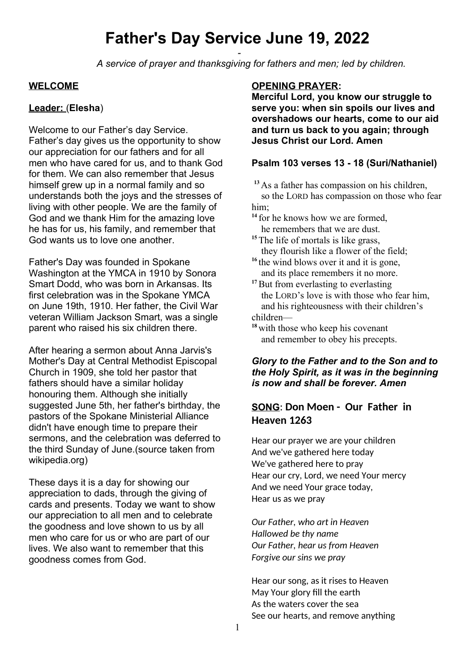## **Father's Day Service June 19, 2022** *-*

*A service of prayer and thanksgiving for fathers and men; led by children.*

#### **WELCOME**

#### **Leader:** (**Elesha**)

Welcome to our Father's day Service. Father's day gives us the opportunity to show our appreciation for our fathers and for all men who have cared for us, and to thank God for them. We can also remember that Jesus himself grew up in a normal family and so understands both the joys and the stresses of living with other people. We are the family of God and we thank Him for the amazing love he has for us, his family, and remember that God wants us to love one another.

Father's Day was founded in Spokane Washington at the YMCA in 1910 by Sonora Smart Dodd, who was born in Arkansas. Its first celebration was in the Spokane YMCA on June 19th, 1910. Her father, the Civil War veteran William Jackson Smart, was a single parent who raised his six children there.

After hearing a sermon about Anna Jarvis's Mother's Day at Central Methodist Episcopal Church in 1909, she told her pastor that fathers should have a similar holiday honouring them. Although she initially suggested June 5th, her father's birthday, the pastors of the Spokane Ministerial Alliance didn't have enough time to prepare their sermons, and the celebration was deferred to the third Sunday of June.(source taken from wikipedia.org)

These days it is a day for showing our appreciation to dads, through the giving of cards and presents. Today we want to show our appreciation to all men and to celebrate the goodness and love shown to us by all men who care for us or who are part of our lives. We also want to remember that this goodness comes from God.

#### **OPENING PRAYER:**

**Merciful Lord, you know our struggle to serve you: when sin spoils our lives and overshadows our hearts, come to our aid and turn us back to you again; through Jesus Christ our Lord. Amen** 

#### **Psalm 103 verses 13 - 18 (Suri/Nathaniel)**

**<sup>13</sup>** As a father has compassion on his children,

so the LORD has compassion on those who fear him;

<sup>14</sup> for he knows how we are formed,

he remembers that we are dust.

<sup>15</sup>The life of mortals is like grass, they flourish like a flower of the field;

<sup>16</sup> the wind blows over it and it is gone, and its place remembers it no more.

<sup>17</sup>But from everlasting to everlasting the LORD's love is with those who fear him, and his righteousness with their children's children—

**<sup>18</sup>** with those who keep his covenant and remember to obey his precepts.

#### *Glory to the Father and to the Son and to the Holy Spirit, as it was in the beginning is now and shall be forever. Amen*

### **SONG**: **Don Moen - Our Father in Heaven 1263**

Hear our prayer we are your children And we've gathered here today We've gathered here to pray Hear our cry, Lord, we need Your mercy And we need Your grace today, Hear us as we pray

*Our Father, who art in Heaven Hallowed be thy name Our Father, hear us from Heaven Forgive our sins we pray*

Hear our song, as it rises to Heaven May Your glory fill the earth As the waters cover the sea See our hearts, and remove anything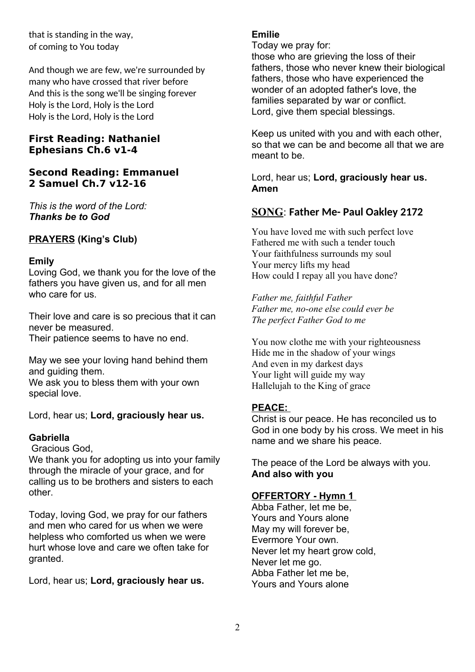that is standing in the way, of coming to You today

And though we are few, we're surrounded by many who have crossed that river before And this is the song we'll be singing forever Holy is the Lord, Holy is the Lord Holy is the Lord, Holy is the Lord

#### **First Reading: Nathaniel Ephesians Ch.6 v1-4**

#### **Second Reading: Emmanuel 2 Samuel Ch.7 v12-16**

*This is the word of the Lord: Thanks be to God*

### **PRAYERS (King's Club)**

#### **Emily**

Loving God, we thank you for the love of the fathers you have given us, and for all men who care for us.

Their love and care is so precious that it can never be measured.

Their patience seems to have no end.

May we see your loving hand behind them and guiding them.

We ask you to bless them with your own special love.

Lord, hear us; **Lord, graciously hear us.**

#### **Gabriella**

Gracious God,

We thank you for adopting us into your family through the miracle of your grace, and for calling us to be brothers and sisters to each other.

Today, loving God, we pray for our fathers and men who cared for us when we were helpless who comforted us when we were hurt whose love and care we often take for granted.

Lord, hear us; **Lord, graciously hear us.**

#### **Emilie**

Today we pray for:

those who are grieving the loss of their fathers, those who never knew their biological fathers, those who have experienced the wonder of an adopted father's love, the families separated by war or conflict. Lord, give them special blessings.

Keep us united with you and with each other, so that we can be and become all that we are meant to be.

Lord, hear us; **Lord, graciously hear us. Amen** 

### **SONG**: **Father Me- Paul Oakley 2172**

You have loved me with such perfect love Fathered me with such a tender touch Your faithfulness surrounds my soul Your mercy lifts my head How could I repay all you have done?

*Father me, faithful Father Father me, no-one else could ever be The perfect Father God to me*

You now clothe me with your righteousness Hide me in the shadow of your wings And even in my darkest days Your light will guide my way Hallelujah to the King of grace

#### **PEACE:**

Christ is our peace. He has reconciled us to God in one body by his cross. We meet in his name and we share his peace.

The peace of the Lord be always with you. **And also with you**

#### **OFFERTORY - Hymn 1**

Abba Father, let me be, Yours and Yours alone May my will forever be, Evermore Your own. Never let my heart grow cold, Never let me go. Abba Father let me be. Yours and Yours alone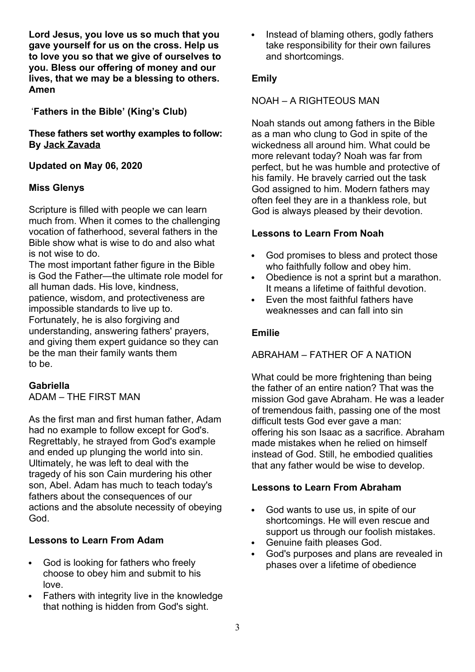**Lord Jesus, you love us so much that you gave yourself for us on the cross. Help us to love you so that we give of ourselves to you. Bless our offering of money and our lives, that we may be a blessing to others. Amen** 

'**Fathers in the Bible' (King's Club)**

**These fathers set worthy examples to follow: By Jack Zavada**

### **Updated on May 06, 2020**

### **Miss Glenys**

Scripture is filled with [people we can learn](about:blank)  [much from.](about:blank) When it comes to the challenging vocation of [fatherhood,](about:blank) several fathers in the Bible show what is wise to do and also what is not wise to do.

The most important father figure in the Bible is God the Father—the ultimate role model for all human dads. His love, kindness, patience, [wisdom,](about:blank) and protectiveness are impossible standards to live up to. Fortunately, he is also forgiving and understanding, answering fathers' prayers, and giving them expert guidance so they can be the man their family wants them to be.

### **Gabriella**

ADAM – THE FIRST MAN

As the first man and first human father, Adam had no example to follow except for God's. Regrettably, he strayed from God's example and ended up plunging the world into sin. Ultimately, he was left to deal with the tragedy of his son Cain murdering his other son, Abel. Adam has much to teach today's fathers about the consequences of our actions and the absolute necessity of obeying God.

### **Lessons to Learn From Adam**

- God is looking for fathers who freely choose to obey him and submit to his love.
- Fathers with integrity live in the knowledge that nothing is hidden from God's sight.

• Instead of blaming others, godly fathers take responsibility for their own failures and shortcomings.

### **Emily**

### NOAH – A RIGHTEOUS MAN

Noah stands out among fathers in the Bible as a man who clung to God in spite of the wickedness all around him. What could be more relevant today? Noah was far from perfect, but he was humble and protective of his family. He bravely carried out the task God assigned to him. Modern fathers may often feel they are in a thankless role, but God is always pleased by their devotion.

### **Lessons to Learn From Noah**

- God promises to bless and protect those who faithfully follow and obey him.
- Obedience is not a sprint but a marathon. It means a lifetime of faithful devotion.
- Even the most faithful fathers have weaknesses and can fall into sin

### **Emilie**

### ABRAHAM – FATHER OF A NATION

What could be more frightening than being the father of an entire nation? That was the mission God gave Abraham. He was a leader of tremendous faith, passing one of the most difficult tests God ever gave a man: offering his son Isaac as a sacrifice. Abraham made mistakes when he relied on himself instead of God. Still, he embodied qualities that any father would be wise to develop.

#### **Lessons to Learn From Abraham**

- God wants to use us, in spite of our shortcomings. He will even rescue and support us through our foolish mistakes.
- Genuine faith pleases God.
- God's purposes and plans are revealed in phases over a lifetime of obedience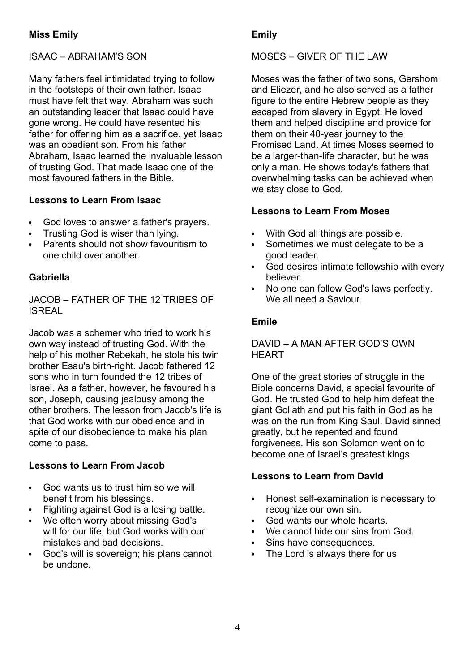#### ISAAC – ABRAHAM'S SON

Many fathers feel intimidated trying to follow in the footsteps of their own father. Isaac must have felt that way. Abraham was such an outstanding leader that Isaac could have gone wrong. He could have resented his father for offering him as a sacrifice, yet Isaac was an obedient son. From his father Abraham, Isaac learned the invaluable lesson of trusting God. That made Isaac one of the most favoured fathers in the Bible.

#### **Lessons to Learn From Isaac**

- God loves to answer a father's prayers.
- Trusting God is wiser than lying.
- Parents should not show favouritism to one child over another.

#### **Gabriella**

JACOB – FATHER OF THE 12 TRIBES OF ISREAL

Jacob was a schemer who tried to work his own way instead of trusting God. With the help of his mother Rebekah, he stole his twin brother Esau's birth-right. Jacob fathered 12 sons who in turn founded the 12 tribes of Israel. As a father, however, he favoured his son, Joseph, causing jealousy among the other brothers. The lesson from Jacob's life is that God works with our obedience and in spite of our disobedience to make his plan come to pass.

#### **Lessons to Learn From Jacob**

- God wants us to trust him so we will benefit from his blessings.
- Fighting against God is a losing battle.
- We often worry about missing God's will for our life, but God works with our mistakes and bad decisions.
- God's will is sovereign; his plans cannot be undone.

### **Emily**

MOSES – GIVER OF THE LAW

Moses was the father of two sons, Gershom and Eliezer, and he also served as a father figure to the entire Hebrew people as they escaped from slavery in Egypt. He loved them and helped discipline and provide for them on their 40-year journey to the Promised Land. At times Moses seemed to be a larger-than-life character, but he was only a man. He shows today's fathers that overwhelming tasks can be achieved when we stay close to God.

#### **Lessons to Learn From Moses**

- With God all things are possible.
- Sometimes we must delegate to be a good leader.
- God desires intimate fellowship with every believer.
- No one can follow God's laws perfectly. We all need a Saviour.

#### **Emile**

#### DAVID – A MAN AFTER GOD'S OWN **HFART**

One of the great stories of struggle in the Bible concerns David, a special favourite of God. He trusted God to help him defeat the giant Goliath and put his faith in God as he was on the run from King Saul. David sinned greatly, but he repented and found forgiveness. His son Solomon went on to become one of Israel's greatest kings.

#### **Lessons to Learn from David**

- Honest self-examination is necessary to recognize our own sin.
- God wants our whole hearts.
- We cannot hide our sins from God.
- Sins have consequences.
- The Lord is always there for us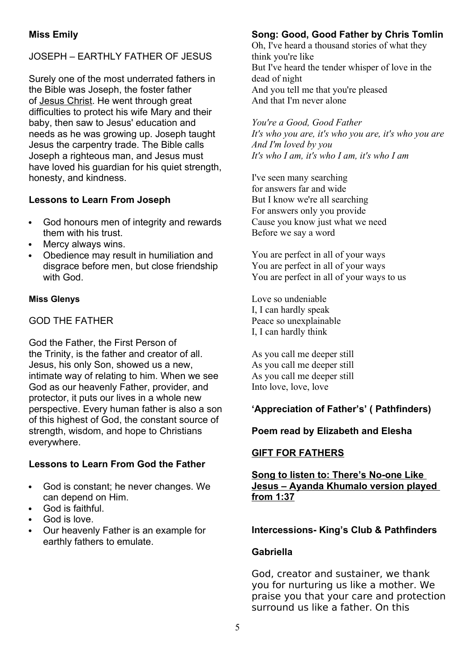#### **Miss Emily**

#### JOSEPH – EARTHLY FATHER OF JESUS

Surely one of the most underrated fathers in the Bible was Joseph, the foster father of [Jesus Christ](about:blank). He went through great difficulties to protect his wife [Mary](about:blank) and their baby, then saw to Jesus' education and needs as he was growing up. Joseph taught Jesus the carpentry trade. The Bible calls Joseph [a righteous man](about:blank), and Jesus must have loved his guardian for his quiet strength, honesty, and kindness.

#### **Lessons to Learn From Joseph**

- God honours men of integrity and rewards them with his trust.
- Mercy always wins.
- Obedience may result in humiliation and disgrace before men, but close friendship with God.

#### **Miss Glenys**

#### GOD THE FATHER

God the Father, the First Person of the Trinity, is the father and creator of all. Jesus, his only Son, showed us a new, intimate way of relating to him. When we see God as our heavenly Father, provider, and protector, it puts our lives in a whole new perspective. Every human father is also a son of this highest of God, the constant source of strength, wisdom, and hope to Christians everywhere.

#### **Lessons to Learn From God the Father**

- God is constant; he never changes. We can depend on Him.
- God is faithful.
- God is love.
- Our heavenly Father is an example for earthly fathers to emulate.

#### **Song: Good, Good Father by Chris Tomlin**

Oh, I've heard a thousand stories of what they think you're like But I've heard the tender whisper of love in the dead of night And you tell me that you're pleased And that I'm never alone

*You're a Good, Good Father It's who you are, it's who you are, it's who you are And I'm loved by you It's who I am, it's who I am, it's who I am*

I've seen many searching for answers far and wide But I know we're all searching For answers only you provide Cause you know just what we need Before we say a word

You are perfect in all of your ways You are perfect in all of your ways You are perfect in all of your ways to us

Love so undeniable I, I can hardly speak Peace so unexplainable I, I can hardly think

As you call me deeper still As you call me deeper still As you call me deeper still Into love, love, love

#### **'Appreciation of Father's' ( Pathfinders)**

#### **Poem read by Elizabeth and Elesha**

#### **GIFT FOR FATHERS**

#### **Song to listen to: There's No-one Like Jesus – Ayanda Khumalo version played from 1:37**

#### **Intercessions- King's Club & Pathfinders**

#### **Gabriella**

God, creator and sustainer, we thank you for nurturing us like a mother. We praise you that your care and protection surround us like a father. On this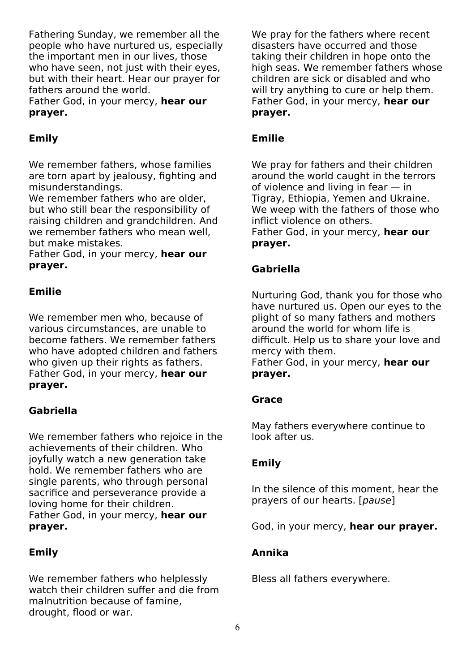Fathering Sunday, we remember all the people who have nurtured us, especially the important men in our lives, those who have seen, not just with their eyes, but with their heart. Hear our prayer for fathers around the world.

Father God, in your mercy, **hear our prayer.**

## **Emily**

We remember fathers, whose families are torn apart by jealousy, fighting and misunderstandings.

We remember fathers who are older. but who still bear the responsibility of raising children and grandchildren. And we remember fathers who mean well, but make mistakes.

Father God, in your mercy, **hear our prayer.**

### **Emilie**

We remember men who, because of various circumstances, are unable to become fathers. We remember fathers who have adopted children and fathers who given up their rights as fathers. Father God, in your mercy, **hear our prayer.**

### **Gabriella**

We remember fathers who rejoice in the achievements of their children. Who joyfully watch a new generation take hold. We remember fathers who are single parents, who through personal sacrifice and perseverance provide a loving home for their children. Father God, in your mercy, **hear our prayer.**

## **Emily**

We remember fathers who helplessly watch their children suffer and die from malnutrition because of famine, drought, flood or war.

We pray for the fathers where recent disasters have occurred and those taking their children in hope onto the high seas. We remember fathers whose children are sick or disabled and who will try anything to cure or help them. Father God, in your mercy, **hear our prayer.**

### **Emilie**

We pray for fathers and their children around the world caught in the terrors of violence and living in fear — in Tigray, Ethiopia, Yemen and Ukraine. We weep with the fathers of those who inflict violence on others. Father God, in your mercy, **hear our prayer.**

### **Gabriella**

Nurturing God, thank you for those who have nurtured us. Open our eyes to the plight of so many fathers and mothers around the world for whom life is difficult. Help us to share your love and mercy with them. Father God, in your mercy, **hear our prayer.**

### **Grace**

May fathers everywhere continue to look after us.

### **Emily**

In the silence of this moment, hear the prayers of our hearts. [pause]

God, in your mercy, **hear our prayer.**

### **Annika**

Bless all fathers everywhere.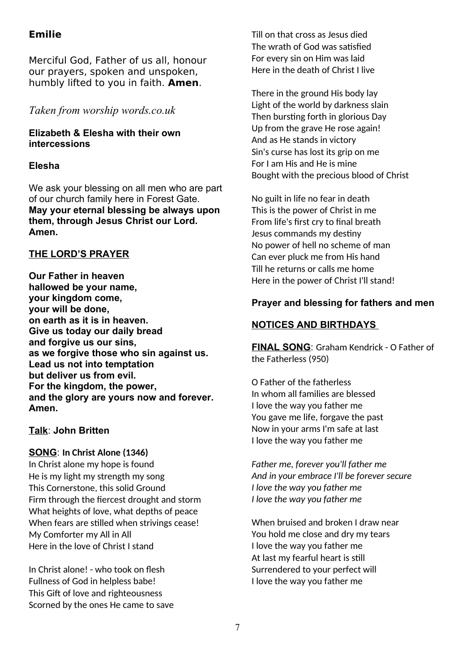### **Emilie**

Merciful God, Father of us all, honour our prayers, spoken and unspoken, humbly lifted to you in faith. **Amen**.

### *Taken from worship words.co.uk*

#### **Elizabeth & Elesha with their own intercessions**

#### **Elesha**

We ask your blessing on all men who are part of our church family here in Forest Gate. **May your eternal blessing be always upon them, through Jesus Christ our Lord. Amen.**

#### **THE LORD'S PRAYER**

**Our Father in heaven hallowed be your name, your kingdom come, your will be done, on earth as it is in heaven. Give us today our daily bread and forgive us our sins, as we forgive those who sin against us. Lead us not into temptation but deliver us from evil. For the kingdom, the power, and the glory are yours now and forever. Amen.**

#### **Talk**: **John Britten**

#### **SONG**: **In Christ Alone (1346)**

In Christ alone my hope is found He is my light my strength my song This Cornerstone, this solid Ground Firm through the fiercest drought and storm What heights of love, what depths of peace When fears are stilled when strivings cease! My Comforter my All in All Here in the love of Christ I stand

In Christ alone! - who took on flesh Fullness of God in helpless babe! This Gift of love and righteousness Scorned by the ones He came to save Till on that cross as Jesus died The wrath of God was satisfied For every sin on Him was laid Here in the death of Christ I live

There in the ground His body lay Light of the world by darkness slain Then bursting forth in glorious Day Up from the grave He rose again! And as He stands in victory Sin's curse has lost its grip on me For I am His and He is mine Bought with the precious blood of Christ

No guilt in life no fear in death This is the power of Christ in me From life's first cry to final breath Jesus commands my destiny No power of hell no scheme of man Can ever pluck me from His hand Till he returns or calls me home Here in the power of Christ I'll stand!

#### **Prayer and blessing for fathers and men**

#### **NOTICES AND BIRTHDAYS**

 **FINAL SONG**: Graham Kendrick - O Father of the Fatherless (950)

O Father of the fatherless In whom all families are blessed I love the way you father me You gave me life, forgave the past Now in your arms I'm safe at last I love the way you father me

*Father me, forever you'll father me And in your embrace I'll be forever secure I love the way you father me I love the way you father me*

When bruised and broken I draw near You hold me close and dry my tears I love the way you father me At last my fearful heart is still Surrendered to your perfect will I love the way you father me